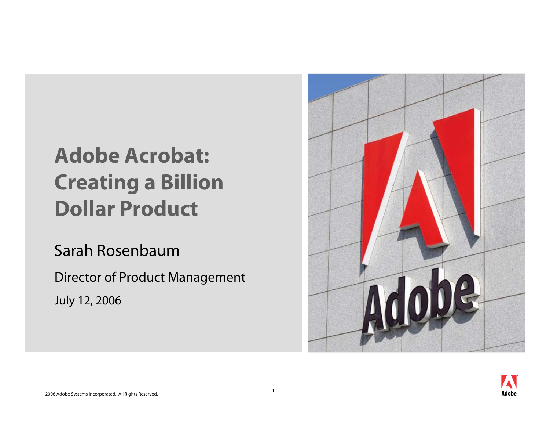# **Adobe Acrobat: Creating a Billion Dollar Product**

Sarah Rosenbaum

Director of Product Management

July 12, 2006



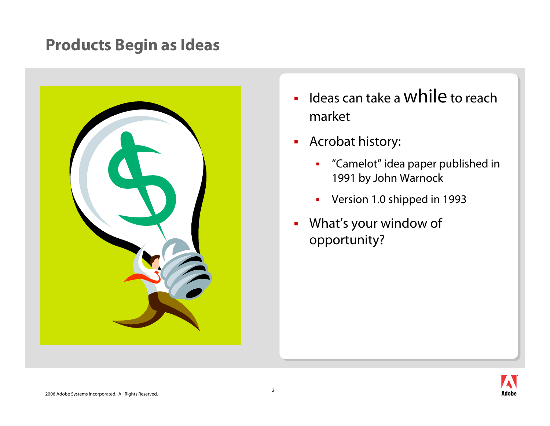#### **Products Begin as Ideas**



- $\blacksquare$  $\blacksquare$  Ideas can take a While to reach market
- Acrobat history:
	- $\blacksquare$  "Camelot" idea paper published in 1991 by John Warnock
	- $\blacksquare$ Version 1.0 shipped in 1993
- $\blacksquare$  What's your window of opportunity?

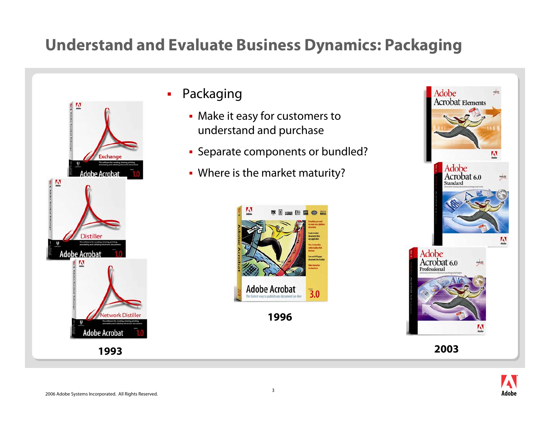#### **Understand and Evaluate Business Dynamics: Packaging**



- $\blacksquare$  Packaging
	- Make it easy for customers to understand and purchase
	- **Separate components or bundled?**
	- Where is the market maturity?



**1996**





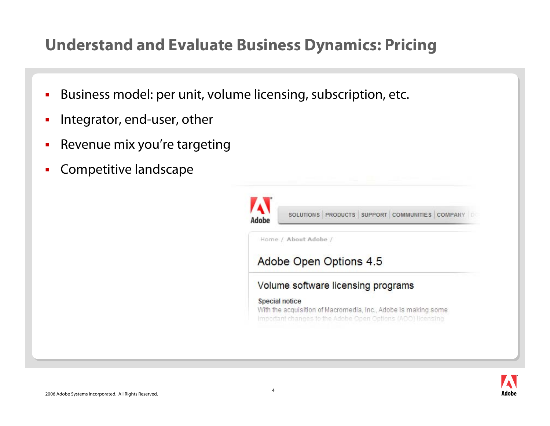#### **Understand and Evaluate Business Dynamics: Pricing**

- П Business model: per unit, volume licensing, subscription, etc.
- П Integrator, end-user, other
- П Revenue mix you're targeting
- П Competitive landscape

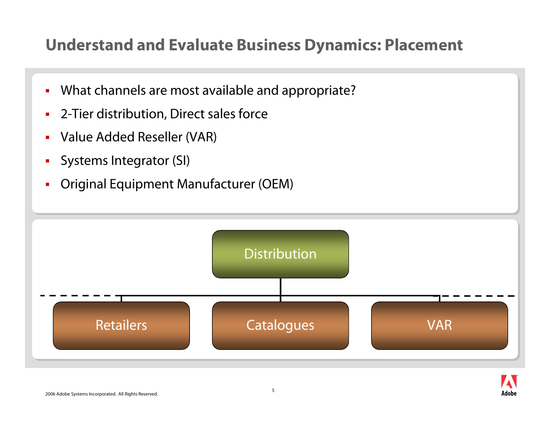#### **Understand and Evaluate Business Dynamics: Placement**

- $\blacksquare$ What channels are most available and appropriate?
- $\blacksquare$ 2-Tier distribution, Direct sales force
- $\blacksquare$ Value Added Reseller (VAR)
- L. Systems Integrator (SI)
- Г Original Equipment Manufacturer (OEM)



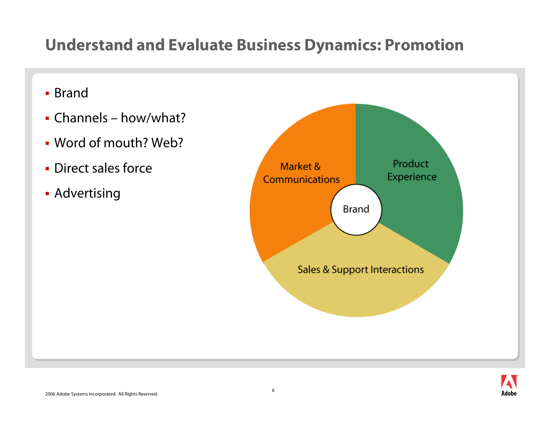### **Understand and Evaluate Business Dynamics: Promotion**

- Brand
- Channels how/what?
- Word of mouth? Web?
- **Direct sales force**
- **Advertising**



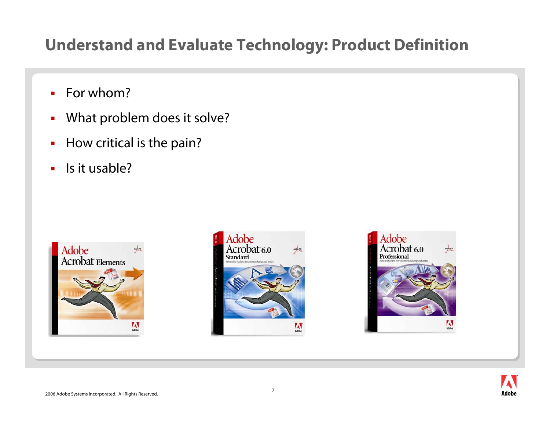#### **Understand and Evaluate Technology: Product Definition**

- Ē. For whom?
- $\blacksquare$ What problem does it solve?
- $\blacksquare$ How critical is the pain?
- $\blacksquare$ Is it usable?







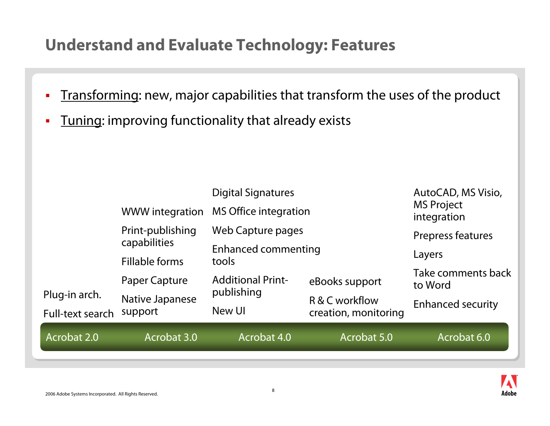#### **Understand and Evaluate Technology: Features**

- $\blacksquare$ Transforming: new, major capabilities that transform the uses of the product
- $\overline{\phantom{a}}$ Tuning: improving functionality that already exists

|                                   | <b>WWW integration</b>         | <b>Digital Signatures</b><br><b>MS Office integration</b>       |                                        | AutoCAD, MS Visio,<br><b>MS Project</b><br>integration |
|-----------------------------------|--------------------------------|-----------------------------------------------------------------|----------------------------------------|--------------------------------------------------------|
|                                   | Print-publishing               | Web Capture pages                                               |                                        | Prepress features                                      |
|                                   | capabilities<br>Fillable forms | <b>Enhanced commenting</b><br>tools<br><b>Additional Print-</b> |                                        | Layers                                                 |
|                                   | Paper Capture                  |                                                                 | eBooks support                         | Take comments back<br>to Word                          |
| Plug-in arch.<br>Full-text search | Native Japanese<br>support     | publishing<br>New UI                                            | R & C workflow<br>creation, monitoring | <b>Enhanced security</b>                               |
| Acrobat 2.0                       | Acrobat 3.0                    | Acrobat 4.0                                                     | Acrobat 5.0                            | Acrobat 6.0                                            |
|                                   |                                |                                                                 |                                        |                                                        |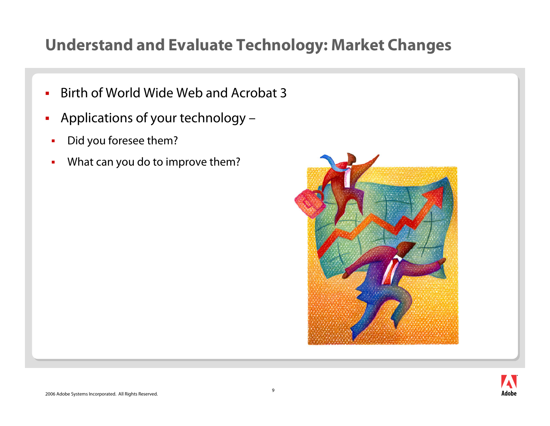#### **Understand and Evaluate Technology: Market Changes**

- ш Birth of World Wide Web and Acrobat 3
- $\mathcal{L}_{\mathcal{A}}$  Applications of your technology –
	- П Did you foresee them?
	- П What can you do to improve them?



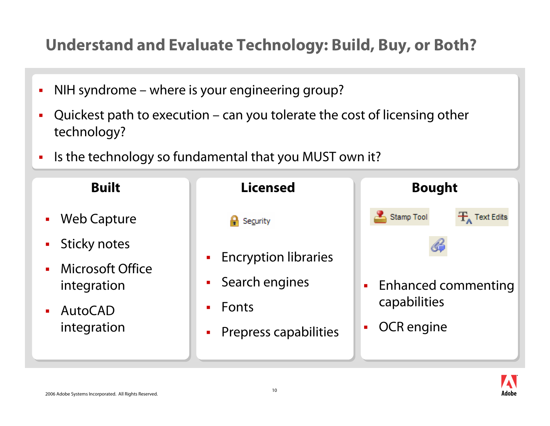### **Understand and Evaluate Technology: Build, Buy, or Both?**

- L NIH syndrome – where is your engineering group?
- L Quickest path to execution – can you tolerate the cost of licensing other technology?
- $\blacksquare$ Is the technology so fundamental that you MUST own it?



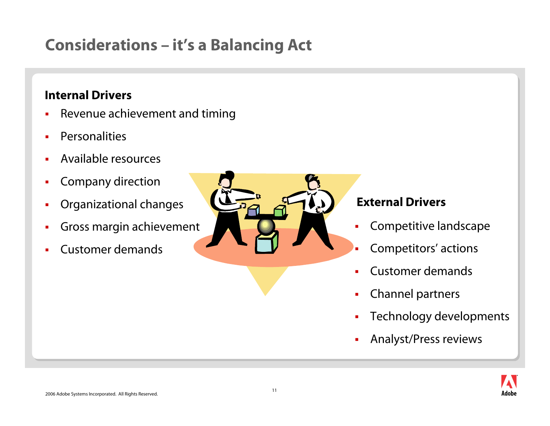## **Considerations – it's a Balancing Act**

#### **Internal Drivers**

- П Revenue achievement and timing
- П **Personalities**
- ш Available resources
- ш Company direction
- П Organizational changes
- ш Gross margin achievement
- ш Customer demands



#### **External Drivers**

- П Competitive landscape
- ⊔ Competitors' actions
- П Customer demands
- П Channel partners
- þ Technology developments
- Ė Analyst/Press reviews

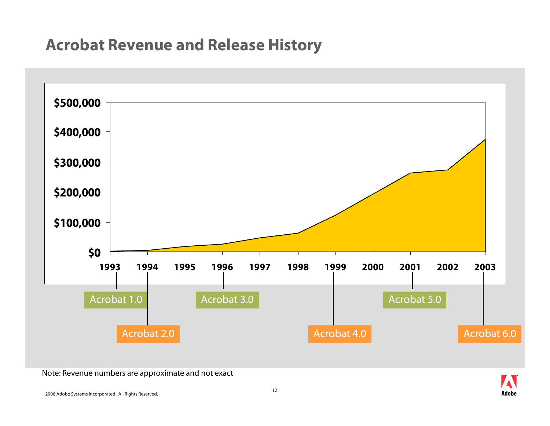#### **Acrobat Revenue and Release History**



Note: Revenue numbers are approximate and not exact

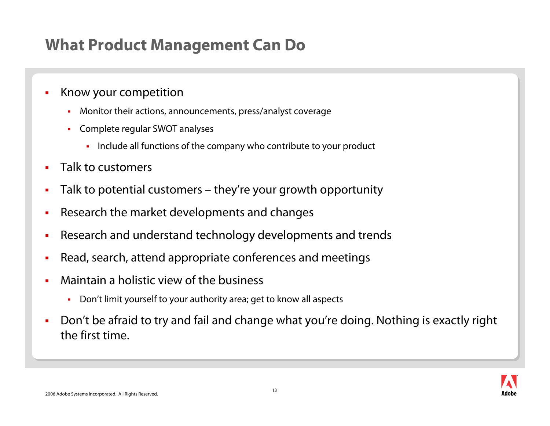#### **What Product Management Can Do**

#### ш Know your competition

- $\blacksquare$ Monitor their actions, announcements, press/analyst coverage
- ×, Complete regular SWOT analyses
	- Include all functions of the company who contribute to your product
- П Talk to customers
- П Talk to potential customers – they're your growth opportunity
- П Research the market developments and changes
- ш Research and understand technology developments and trends
- П Read, search, attend appropriate conferences and meetings
- П Maintain a holistic view of the business
	- $\blacksquare$ Don't limit yourself to your authority area; get to know all aspects
- ш Don't be afraid to try and fail and change what you're doing. Nothing is exactly right the first time.